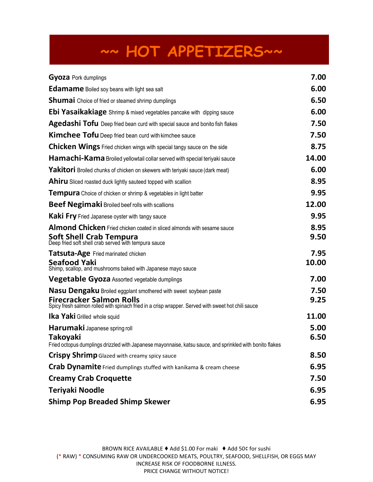## **~~ HOT APPETIZERS~~**

| <b>Gyoza</b> Pork dumplings                                                                                                                                       | 7.00          |
|-------------------------------------------------------------------------------------------------------------------------------------------------------------------|---------------|
| <b>Edamame</b> Boiled soy beans with light sea salt                                                                                                               | 6.00          |
| Shumai Choice of fried or steamed shrimp dumplings                                                                                                                | 6.50          |
| Ebi Yasaikakiage Shrimp & mixed vegetables pancake with dipping sauce                                                                                             | 6.00          |
| <b>Agedashi Tofu</b> Deep fried bean curd with special sauce and bonito fish flakes                                                                               | 7.50          |
| Kimchee Tofu Deep fried bean curd with kimchee sauce                                                                                                              | 7.50          |
| <b>Chicken Wings</b> Fried chicken wings with special tangy sauce on the side                                                                                     | 8.75          |
| Hamachi-Kama Broiled yellowtail collar served with special teriyaki sauce                                                                                         | 14.00         |
| Yakitori Broiled chunks of chicken on skewers with teriyaki sauce (dark meat)                                                                                     | 6.00          |
| Ahiru Sliced roasted duck lightly sauteed topped with scallion                                                                                                    | 8.95          |
| <b>Tempura</b> Choice of chicken or shrimp & vegetables in light batter                                                                                           | 9.95          |
| <b>Beef Negimaki</b> Broiled beef rolls with scallions                                                                                                            | 12.00         |
| <b>Kaki Fry</b> Fried Japanese oyster with tangy sauce                                                                                                            | 9.95          |
| Almond Chicken Fried chicken coated in sliced almonds with sesame sauce<br><b>Soft Shell Crab Tempura</b><br>Deep fried soft shell crab served with tempura sauce | 8.95<br>9.50  |
| Tatsuta-Age Fried marinated chicken<br>Seafood Yaki<br>Shimp, scallop, and mushrooms baked with Japanese mayo sauce                                               | 7.95<br>10.00 |
| Vegetable Gyoza Assorted vegetable dumplings                                                                                                                      | 7.00          |
| Nasu Dengaku Broiled eggplant smothered with sweet soybean paste                                                                                                  | 7.50          |
| <b>Firecracker Salmon Rolls</b><br>Spicy fresh salmon rolled with spinach fried in a crisp wrapper. Served with sweet hot chili sauce                             | 9.25          |
| <b>Ika Yaki</b> Grilled whole squid                                                                                                                               | 11.00         |
| <b>Harumaki</b> Japanese spring roll<br>Takoyaki<br>Fried octopus dumplings drizzled with Japanese mayonnaise, katsu sauce, and sprinkled with bonito flakes      | 5.00<br>6.50  |
| Crispy Shrimp Glazed with creamy spicy sauce                                                                                                                      | 8.50          |
| Crab Dynamite Fried dumplings stuffed with kanikama & cream cheese                                                                                                | 6.95          |
| <b>Creamy Crab Croquette</b>                                                                                                                                      | 7.50          |
| Teriyaki Noodle                                                                                                                                                   | 6.95          |
| <b>Shimp Pop Breaded Shimp Skewer</b>                                                                                                                             | 6.95          |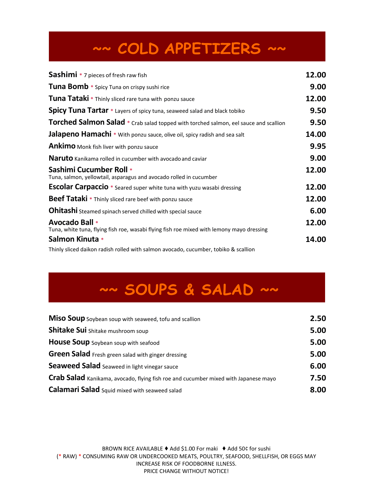# **~~ COLD APPETIZERS ~~**

| <b>Sashimi</b> * 7 pieces of fresh raw fish                                                                 | 12.00 |
|-------------------------------------------------------------------------------------------------------------|-------|
| Tuna Bomb * Spicy Tuna on crispy sushi rice                                                                 | 9.00  |
| Tuna Tataki * Thinly sliced rare tuna with ponzu sauce                                                      | 12.00 |
| <b>Spicy Tuna Tartar</b> * Layers of spicy tuna, seaweed salad and black tobiko                             | 9.50  |
| Torched Salmon Salad * Crab salad topped with torched salmon, eel sauce and scallion                        | 9.50  |
| Jalapeno Hamachi * With ponzu sauce, olive oil, spicy radish and sea salt                                   | 14.00 |
| <b>Ankimo</b> Monk fish liver with ponzu sauce                                                              | 9.95  |
| <b>Naruto</b> Kanikama rolled in cucumber with avocado and caviar                                           | 9.00  |
| <b>Sashimi Cucumber Roll *</b><br>Tuna, salmon, yellowtail, asparagus and avocado rolled in cucumber        | 12.00 |
| <b>Escolar Carpaccio</b> * Seared super white tuna with yuzu wasabi dressing                                | 12.00 |
| Beef Tataki * Thinly sliced rare beef with ponzu sauce                                                      | 12.00 |
| <b>Ohitashi</b> Steamed spinach served chilled with special sauce                                           | 6.00  |
| Avocado Ball *<br>Tuna, white tuna, flying fish roe, wasabi flying fish roe mixed with lemony mayo dressing | 12.00 |
| Salmon Kinuta *                                                                                             | 14.00 |
| Thinly sliced daikon radish rolled with salmon avocado, cucumber, tobiko & scallion                         |       |

## **~~ SOUPS & SALAD ~~**

| Miso Soup Soybean soup with seaweed, tofu and scallion                              | 2.50 |
|-------------------------------------------------------------------------------------|------|
| Shitake Sui Shitake mushroom soup                                                   | 5.00 |
| House Soup Soybean soup with seafood                                                | 5.00 |
| Green Salad Fresh green salad with ginger dressing                                  | 5.00 |
| Seaweed Salad Seaweed in light vinegar sauce                                        | 6.00 |
| Crab Salad Kanikama, avocado, flying fish roe and cucumber mixed with Japanese mayo | 7.50 |
| <b>Calamari Salad</b> Squid mixed with seaweed salad                                | 8.00 |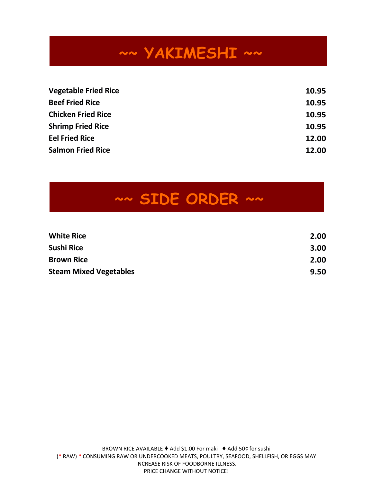## **~~ YAKIMESHI ~~**

| <b>Vegetable Fried Rice</b> | 10.95 |
|-----------------------------|-------|
| <b>Beef Fried Rice</b>      | 10.95 |
| <b>Chicken Fried Rice</b>   | 10.95 |
| <b>Shrimp Fried Rice</b>    | 10.95 |
| <b>Eel Fried Rice</b>       | 12.00 |
| <b>Salmon Fried Rice</b>    | 12.00 |

## **~~ SIDE ORDER ~~**

| <b>White Rice</b>             | 2.00 |
|-------------------------------|------|
| Sushi Rice                    | 3.00 |
| <b>Brown Rice</b>             | 2.00 |
| <b>Steam Mixed Vegetables</b> | 9.50 |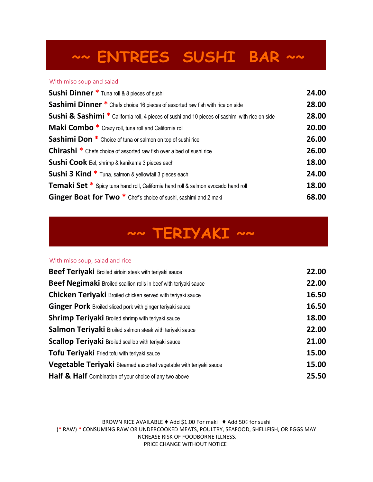## **~~ ENTREES SUSHI BAR ~~**

#### With miso soup and salad

| <b>Sushi Dinner</b> * Tuna roll & 8 pieces of sushi                                                        | 24.00 |
|------------------------------------------------------------------------------------------------------------|-------|
| <b>Sashimi Dinner</b> * Chefs choice 16 pieces of assorted raw fish with rice on side                      | 28.00 |
| <b>Sushi &amp; Sashimi</b> * California roll, 4 pieces of sushi and 10 pieces of sashimi with rice on side | 28.00 |
| <b>Maki Combo</b> * Crazy roll, tuna roll and California roll                                              | 20.00 |
| <b>Sashimi Don</b> * Choice of tuna or salmon on top of sushi rice                                         | 26.00 |
| <b>Chirashi</b> * Chefs choice of assorted raw fish over a bed of sushi rice                               | 26.00 |
| Sushi Cook Eel, shrimp & kanikama 3 pieces each                                                            | 18.00 |
| <b>Sushi 3 Kind *</b> Tuna, salmon & yellowtail 3 pieces each                                              | 24.00 |
| <b>Temaki Set *</b> Spicy tuna hand roll, California hand roll & salmon avocado hand roll                  | 18.00 |
| Ginger Boat for Two <sup>*</sup> Chef's choice of sushi, sashimi and 2 maki                                | 68.00 |
|                                                                                                            |       |

### **~~ TERIYAKI ~~**

#### With miso soup, salad and rice

| <b>Beef Teriyaki</b> Broiled sirloin steak with teriyaki sauce    | 22.00 |
|-------------------------------------------------------------------|-------|
| Beef Negimaki Broiled scallion rolls in beef with teriyaki sauce  | 22.00 |
| Chicken Teriyaki Broiled chicken served with teriyaki sauce       | 16.50 |
| Ginger Pork Broiled sliced pork with ginger teriyaki sauce        | 16.50 |
| <b>Shrimp Teriyaki</b> Broiled shrimp with teriyaki sauce         | 18.00 |
| Salmon Teriyaki Broiled salmon steak with teriyaki sauce          | 22.00 |
| <b>Scallop Teriyaki Broiled scallop with teriyaki sauce</b>       | 21.00 |
| Tofu Teriyaki Fried tofu with teriyaki sauce                      | 15.00 |
| Vegetable Teriyaki Steamed assorted vegetable with teriyaki sauce | 15.00 |
| Half & Half Combination of your choice of any two above           | 25.50 |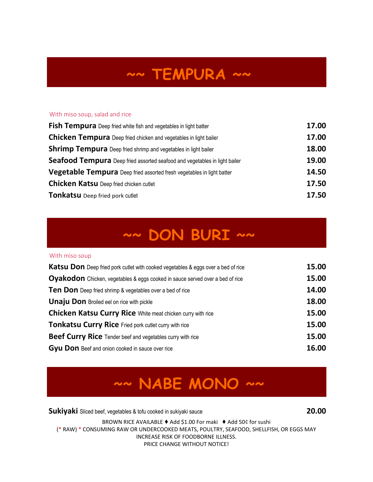## **~~ TEMPURA ~~**

### With miso soup, salad and rice

| Fish Tempura Deep fried white fish and vegetables in light batter          | 17.00 |
|----------------------------------------------------------------------------|-------|
| <b>Chicken Tempura</b> Deep fried chicken and vegetables in light bailer   | 17.00 |
| <b>Shrimp Tempura</b> Deep fried shrimp and vegetables in light bailer     | 18.00 |
| Seafood Tempura Deep fried assorted seafood and vegetables in light bailer | 19.00 |
| Vegetable Tempura Deep fried assorted fresh vegetables in light batter     | 14.50 |
| <b>Chicken Katsu Deep fried chicken cutlet</b>                             | 17.50 |
| Tonkatsu Deep fried pork cutlet                                            | 17.50 |

### **~~ DON BURI ~~**

#### With miso soup

| <b>Katsu Don</b> Deep fried pork cutlet with cooked vegetables & eggs over a bed of rice | 15.00 |
|------------------------------------------------------------------------------------------|-------|
| <b>Oyakodon</b> Chicken, vegetables & eggs cooked in sauce served over a bed of rice     | 15.00 |
| Ten Don Deep fried shrimp & vegetables over a bed of rice                                | 14.00 |
| <b>Unaju Don</b> Broiled eel on rice with pickle                                         | 18.00 |
| Chicken Katsu Curry Rice White meat chicken curry with rice                              | 15.00 |
| Tonkatsu Curry Rice Fried pork cutlet curry with rice                                    | 15.00 |
| <b>Beef Curry Rice</b> Tender beef and vegetables curry with rice                        | 15.00 |
| Gyu Don Beef and onion cooked in sauce over rice                                         | 16.00 |

### **~~ NABE MONO ~~**

**Sukiyaki** Sliced beef, vegetables & tofu cooked in sukiyaki sauce **20.00**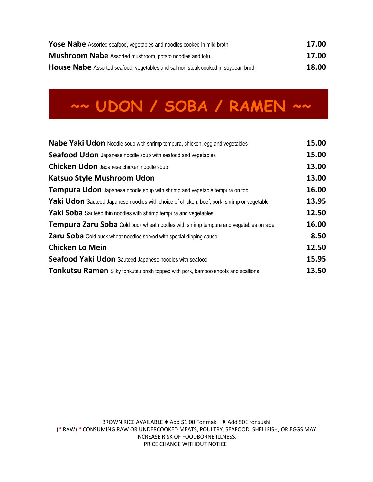| <b>Yose Nabe</b> Assorted seafood, vegetables and noodles cooked in mild broth   | 17.00 |
|----------------------------------------------------------------------------------|-------|
| <b>Mushroom Nabe</b> Assorted mushroom, potato noodles and tofu                  | 17.00 |
| House Nabe Assorted seafood, vegetables and salmon steak cooked in soybean broth | 18.00 |

# **~~ UDON / SOBA / RAMEN ~~**

| Nabe Yaki Udon Noodle soup with shrimp tempura, chicken, egg and vegetables                       | 15.00 |
|---------------------------------------------------------------------------------------------------|-------|
| <b>Seafood Udon</b> Japanese noodle soup with seafood and vegetables                              | 15.00 |
| Chicken Udon Japanese chicken noodle soup                                                         | 13.00 |
| <b>Katsuo Style Mushroom Udon</b>                                                                 | 13.00 |
| <b>Tempura Udon</b> Japanese noodle soup with shrimp and vegetable tempura on top                 | 16.00 |
| <b>Yaki Udon</b> Sauteed Japanese noodles with choice of chicken, beef, pork, shrimp or vegetable | 13.95 |
| <b>Yaki Soba</b> Sauteed thin noodles with shrimp tempura and vegetables                          | 12.50 |
| <b>Tempura Zaru Soba</b> Cold buck wheat noodles with shrimp tempura and vegetables on side       | 16.00 |
| <b>Zaru Soba</b> Cold buck wheat noodles served with special dipping sauce                        | 8.50  |
| <b>Chicken Lo Mein</b>                                                                            | 12.50 |
| Seafood Yaki Udon Sauteed Japanese noodles with seafood                                           | 15.95 |
| <b>Tonkutsu Ramen</b> Silky tonkutsu broth topped with pork, bamboo shoots and scallions          | 13.50 |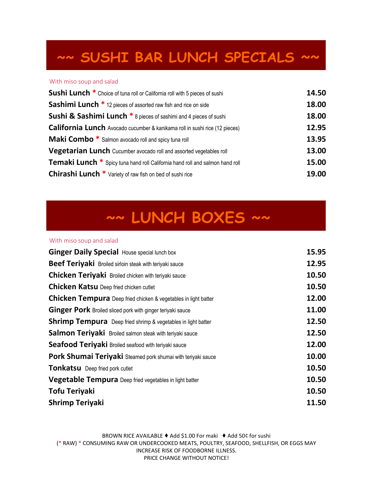### **~~ SUSHI BAR LUNCH SPECIALS ~~**

#### With miso soup and salad

| <b>Sushi Lunch *</b> Choice of tuna roll or California roll with 5 pieces of sushi   | 14.50 |
|--------------------------------------------------------------------------------------|-------|
| <b>Sashimi Lunch</b> * 12 pieces of assorted raw fish and rice on side               | 18.00 |
| <b>Sushi &amp; Sashimi Lunch *</b> 8 pieces of sashimi and 4 pieces of sushi         | 18.00 |
| <b>California Lunch</b> Avocado cucumber & kanikama roll in sushi rice (12 pieces)   | 12.95 |
| <b>Maki Combo</b> * Salmon avocado roll and spicy tuna roll                          | 13.95 |
| Vegetarian Lunch Cucumber avocado roll and assorted vegetables roll                  | 13.00 |
| <b>Temaki Lunch</b> * Spicy tuna hand roll California hand roll and salmon hand roll | 15.00 |
| <b>Chirashi Lunch *</b> Variety of raw fish on bed of sushi rice                     | 19.00 |

## **~~ LUNCH BOXES ~~**

### With miso soup and salad

| <b>Ginger Daily Special House special lunch box</b>                    | 15.95 |
|------------------------------------------------------------------------|-------|
| <b>Beef Teriyaki</b> Broiled sirloin steak with teriyaki sauce         | 12.95 |
| <b>Chicken Teriyaki</b> Broiled chicken with teriyaki sauce            | 10.50 |
| <b>Chicken Katsu Deep fried chicken cutlet</b>                         | 10.50 |
| <b>Chicken Tempura</b> Deep fried chicken & vegetables in light batter | 12.00 |
| Ginger Pork Broiled sliced pork with ginger teriyaki sauce             | 11.00 |
| <b>Shrimp Tempura</b> Deep fried shrimp & vegetables in light batter   | 12.50 |
| <b>Salmon Teriyaki</b> Broiled salmon steak with teriyaki sauce        | 12.50 |
| Seafood Teriyaki Broiled seafood with teriyaki sauce                   | 12.00 |
| Pork Shumai Teriyaki Steamed pork shumai with teriyaki sauce           | 10.00 |
| Tonkatsu Deep fried pork cutlet                                        | 10.50 |
| <b>Vegetable Tempura</b> Deep fried vegetables in light batter         | 10.50 |
| Tofu Teriyaki                                                          | 10.50 |
| <b>Shrimp Teriyaki</b>                                                 | 11.50 |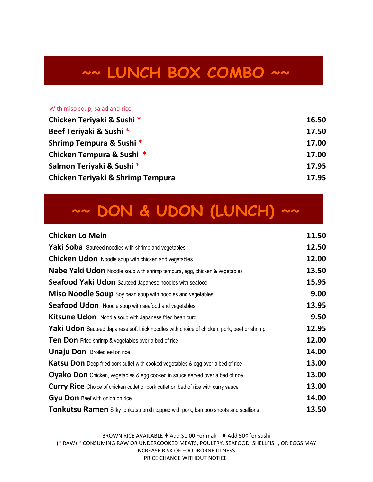## **~~ LUNCH BOX COMBO ~~**

#### With miso soup, salad and rice

| Chicken Teriyaki & Sushi *        | 16.50 |
|-----------------------------------|-------|
| Beef Teriyaki & Sushi *           | 17.50 |
| Shrimp Tempura & Sushi *          | 17.00 |
| Chicken Tempura & Sushi *         | 17.00 |
| Salmon Teriyaki & Sushi *         | 17.95 |
| Chicken Teriyaki & Shrimp Tempura | 17.95 |

## **~~ DON & UDON (LUNCH) ~~**

| <b>Chicken Lo Mein</b>                                                                     | 11.50 |
|--------------------------------------------------------------------------------------------|-------|
| Yaki Soba Sauteed noodles with shrimp and vegetables                                       | 12.50 |
| <b>Chicken Udon</b> Noodle soup with chicken and vegetables                                | 12.00 |
| Nabe Yaki Udon Noodle soup with shrimp tempura, egg, chicken & vegetables                  | 13.50 |
| Seafood Yaki Udon Sauteed Japanese noodles with seafood                                    | 15.95 |
| <b>Miso Noodle Soup</b> Soy bean soup with noodles and vegetables                          | 9.00  |
| Seafood Udon Noodle soup with seafood and vegetables                                       | 13.95 |
| Kitsune Udon Noodle soup with Japanese fried bean curd                                     | 9.50  |
| Yaki Udon Sauteed Japanese soft thick noodles with choice of chicken, pork, beef or shrimp | 12.95 |
| <b>Ten Don</b> Fried shrimp & vegetables over a bed of rice                                | 12.00 |
| <b>Unaju Don</b> Broiled eel on rice                                                       | 14.00 |
| <b>Katsu Don</b> Deep fried pork cutlet with cooked vegetables & egg over a bed of rice    | 13.00 |
| <b>Oyako Don</b> Chicken, vegetables & egg cooked in sauce served over a bed of rice       | 13.00 |
| <b>Curry Rice</b> Choice of chicken cutlet or pork cutlet on bed of rice with curry sauce  | 13.00 |
| Gyu Don Beef with onion on rice                                                            | 14.00 |
| <b>Tonkutsu Ramen</b> Silky tonkutsu broth topped with pork, bamboo shoots and scallions   | 13.50 |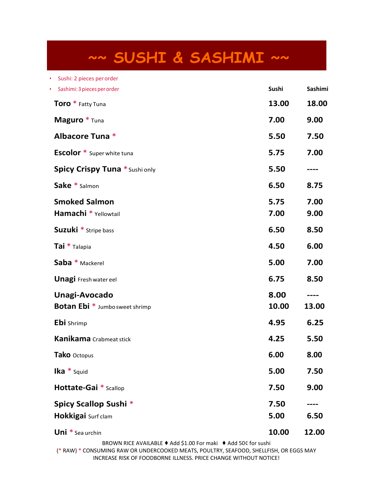## **~~ SUSHI & SASHIMI ~~**

| Sushi: 2 pieces per order<br>$\bullet$     |       |         |
|--------------------------------------------|-------|---------|
| Sashimi: 3 pieces per order<br>$\bullet$ . | Sushi | Sashimi |
| Toro * Fatty Tuna                          | 13.00 | 18.00   |
| Maguro * Tuna                              | 7.00  | 9.00    |
| Albacore Tuna *                            | 5.50  | 7.50    |
| <b>Escolor</b> * Super white tuna          | 5.75  | 7.00    |
| <b>Spicy Crispy Tuna * Sushi only</b>      | 5.50  |         |
| Sake * Salmon                              | 6.50  | 8.75    |
| <b>Smoked Salmon</b>                       | 5.75  | 7.00    |
| Hamachi * Yellowtail                       | 7.00  | 9.00    |
| Suzuki * Stripe bass                       | 6.50  | 8.50    |
| Tai * Talapia                              | 4.50  | 6.00    |
| Saba * Mackerel                            | 5.00  | 7.00    |
| <b>Unagi</b> Fresh water eel               | 6.75  | 8.50    |
| Unagi-Avocado                              | 8.00  |         |
| <b>Botan Ebi</b> * Jumbo sweet shrimp      | 10.00 | 13.00   |
| Ebi Shrimp                                 | 4.95  | 6.25    |
| <b>Kanikama</b> Crabmeat stick             | 4.25  | 5.50    |
| Tako Octopus                               | 6.00  | 8.00    |
| Ika $*$ Squid                              | 5.00  | 7.50    |
| Hottate-Gai * Scallop                      | 7.50  | 9.00    |
| Spicy Scallop Sushi *                      | 7.50  |         |
| Hokkigai Surf clam                         | 5.00  | 6.50    |
| Uni * Sea urchin                           | 10.00 | 12.00   |
|                                            |       |         |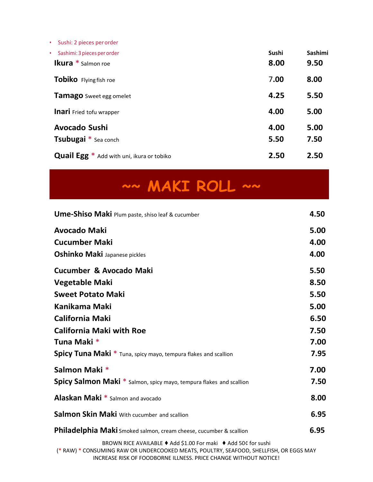• Sushi: 2 pieces perorder

| · Sashimi: 3 pieces per order                    | Sushi | Sashimi |
|--------------------------------------------------|-------|---------|
| <b>Ikura</b> * Salmon roe                        | 8.00  | 9.50    |
| <b>Tobiko</b> Flying fish roe                    | 7.00  | 8.00    |
| <b>Tamago</b> Sweet egg omelet                   | 4.25  | 5.50    |
| <b>Inari</b> Fried tofu wrapper                  | 4.00  | 5.00    |
| <b>Avocado Sushi</b>                             | 4.00  | 5.00    |
| <b>Tsubugai</b> * Sea conch                      | 5.50  | 7.50    |
| <b>Quail Egg</b> * Add with uni, ikura or tobiko | 2.50  | 2.50    |

**~~ MAKI ROLL ~~**

| <b>Ume-Shiso Maki</b> Plum paste, shiso leaf & cucumber                                                                                                                                                                      | 4.50 |
|------------------------------------------------------------------------------------------------------------------------------------------------------------------------------------------------------------------------------|------|
| <b>Avocado Maki</b>                                                                                                                                                                                                          | 5.00 |
| <b>Cucumber Maki</b>                                                                                                                                                                                                         | 4.00 |
| <b>Oshinko Maki Japanese pickles</b>                                                                                                                                                                                         | 4.00 |
| Cucumber & Avocado Maki                                                                                                                                                                                                      | 5.50 |
| <b>Vegetable Maki</b>                                                                                                                                                                                                        | 8.50 |
| <b>Sweet Potato Maki</b>                                                                                                                                                                                                     | 5.50 |
| Kanikama Maki                                                                                                                                                                                                                | 5.00 |
| <b>California Maki</b>                                                                                                                                                                                                       | 6.50 |
| <b>California Maki with Roe</b>                                                                                                                                                                                              | 7.50 |
| Tuna Maki *                                                                                                                                                                                                                  | 7.00 |
| Spicy Tuna Maki * Tuna, spicy mayo, tempura flakes and scallion                                                                                                                                                              | 7.95 |
| Salmon Maki *                                                                                                                                                                                                                | 7.00 |
| <b>Spicy Salmon Maki</b> * Salmon, spicy mayo, tempura flakes and scallion                                                                                                                                                   | 7.50 |
| <b>Alaskan Maki</b> * Salmon and avocado                                                                                                                                                                                     | 8.00 |
| Salmon Skin Maki With cucumber and scallion                                                                                                                                                                                  | 6.95 |
| Philadelphia Maki Smoked salmon, cream cheese, cucumber & scallion                                                                                                                                                           | 6.95 |
| BROWN RICE AVAILABLE ♦ Add \$1.00 For maki ♦ Add 50¢ for sushi<br>(* RAW) * CONSUMING RAW OR UNDERCOOKED MEATS, POULTRY, SEAFOOD, SHELLFISH, OR EGGS MAY<br>INCREASE RISK OF FOODRORNE ILLNESS, RRICE CHANGE WITHOUT NOTICEL |      |

INCREASE RISK OF FOODBORNE ILLNESS. PRICE CHANGE WITHOUT NOTICE!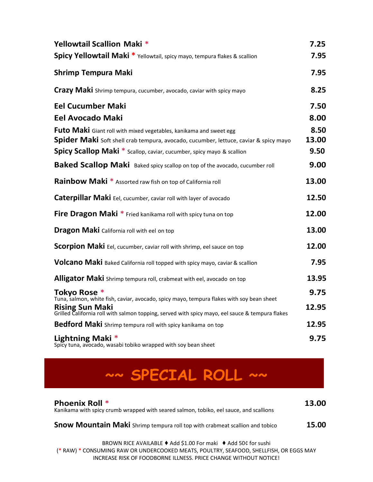| Yellowtail Scallion Maki *                                                                                         | 7.25  |
|--------------------------------------------------------------------------------------------------------------------|-------|
| <b>Spicy Yellowtail Maki</b> * Yellowtail, spicy mayo, tempura flakes & scallion                                   | 7.95  |
| <b>Shrimp Tempura Maki</b>                                                                                         | 7.95  |
| <b>Crazy Maki</b> Shrimp tempura, cucumber, avocado, caviar with spicy mayo                                        | 8.25  |
| <b>Eel Cucumber Maki</b>                                                                                           | 7.50  |
| <b>Eel Avocado Maki</b>                                                                                            | 8.00  |
| Futo Maki Giant roll with mixed vegetables, kanikama and sweet egg                                                 | 8.50  |
| <b>Spider Maki</b> Soft shell crab tempura, avocado, cucumber, lettuce, caviar & spicy mayo                        | 13.00 |
| <b>Spicy Scallop Maki</b> * Scallop, caviar, cucumber, spicy mayo & scallion                                       | 9.50  |
| Baked Scallop Maki Baked spicy scallop on top of the avocado, cucumber roll                                        | 9.00  |
| <b>Rainbow Maki</b> * Assorted raw fish on top of California roll                                                  | 13.00 |
| Caterpillar Maki Eel, cucumber, caviar roll with layer of avocado                                                  | 12.50 |
| Fire Dragon Maki * Fried kanikama roll with spicy tuna on top                                                      | 12.00 |
| <b>Dragon Maki</b> California roll with eel on top                                                                 | 13.00 |
| Scorpion Maki Eel, cucumber, caviar roll with shrimp, eel sauce on top                                             | 12.00 |
| Volcano Maki Baked California roll topped with spicy mayo, caviar & scallion                                       | 7.95  |
| <b>Alligator Maki</b> Shrimp tempura roll, crabmeat with eel, avocado on top                                       | 13.95 |
| Tokyo Rose *<br>Tuna, salmon, white fish, caviar, avocado, spicy mayo, tempura flakes with soy bean sheet          | 9.75  |
| Rising Sun Maki<br>Grilled California roll with salmon topping, served with spicy mayo, eel sauce & tempura flakes | 12.95 |
| Bedford Maki Shrimp tempura roll with spicy kanikama on top                                                        | 12.95 |
| Lightning Maki $*$<br>Spicy tuna, avocado, wasabi tobiko wrapped with soy bean sheet                               | 9.75  |

### **~~ SPECIAL ROLL ~~**

| <b>Phoenix Roll *</b><br>Kanikama with spicy crumb wrapped with seared salmon, tobiko, eel sauce, and scallions | 13.00 |
|-----------------------------------------------------------------------------------------------------------------|-------|
| Snow Mountain Maki Shrimp tempura roll top with crabmeat scallion and tobico                                    | 15.00 |